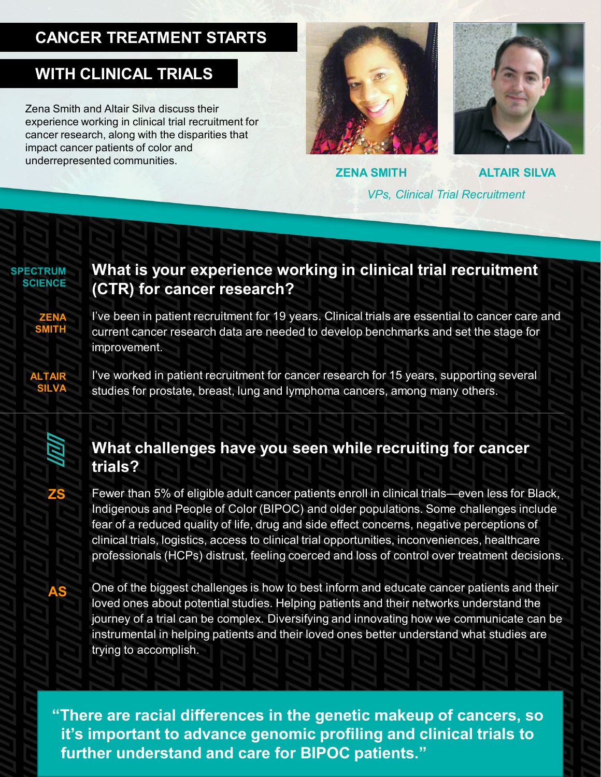## **CANCER TREATMENT STARTS**

### **WITH CLINICAL TRIALS**

Zena Smith and Altair Silva discuss their experience working in clinical trial recruitment for cancer research, along with the disparities that impact cancer patients of color and underrepresented communities.





**ZENA SMITH**

**ALTAIR SILVA** *VPs, Clinical Trial Recruitment*

**SPECTRUM SCIENCE**

> **ZENA SMITH**

**ALTAIR SILVA**

#### **What is your experience working in clinical trial recruitment (CTR) for cancer research?**

I've been in patient recruitment for 19 years. Clinical trials are essential to cancer care and current cancer research data are needed to develop benchmarks and set the stage for improvement.

I've worked in patient recruitment for cancer research for 15 years, supporting several studies for prostate, breast, lung and lymphoma cancers, among many others.



**ZS**

**AS**

#### **What challenges have you seen while recruiting for cancer trials?**

Fewer than 5% of eligible adult cancer patients enroll in clinical trials—even less for Black, Indigenous and People of Color (BIPOC) and older populations. Some challenges include fear of a reduced quality of life, drug and side effect concerns, negative perceptions of clinical trials, logistics, access to clinical trial opportunities, inconveniences, healthcare professionals (HCPs) distrust, feeling coerced and loss of control over treatment decisions.

One of the biggest challenges is how to best inform and educate cancer patients and their loved ones about potential studies. Helping patients and their networks understand the journey of a trial can be complex. Diversifying and innovating how we communicate can be instrumental in helping patients and their loved ones better understand what studies are trying to accomplish.

**"There are racial differences in the genetic makeup of cancers, so it's important to advance genomic profiling and clinical trials to further understand and care for BIPOC patients."**